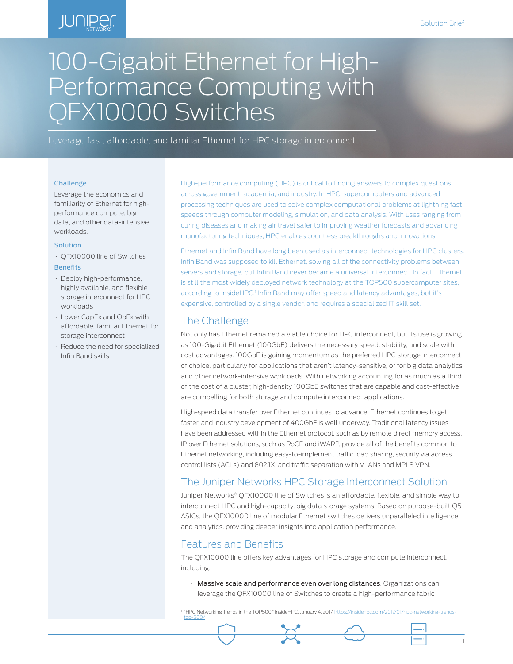# **JUNIPER**

# 100-Gigabit Ethernet for High-Performance Computing with QFX10000 Switches

Leverage fast, affordable, and familiar Ethernet for HPC storage interconnect

#### Challenge

Leverage the economics and familiarity of Ethernet for highperformance compute, big data, and other data-intensive workloads.

#### Solution

- QFX10000 line of Switches **Benefits**
- Deploy high-performance, highly available, and flexible storage interconnect for HPC workloads
- Lower CapEx and OpEx with affordable, familiar Ethernet for storage interconnect
- Reduce the need for specialized InfiniBand skills

High-performance computing (HPC) is critical to finding answers to complex questions across government, academia, and industry. In HPC, supercomputers and advanced processing techniques are used to solve complex computational problems at lightning fast speeds through computer modeling, simulation, and data analysis. With uses ranging from curing diseases and making air travel safer to improving weather forecasts and advancing manufacturing techniques, HPC enables countless breakthroughs and innovations.

Ethernet and InfiniBand have long been used as interconnect technologies for HPC clusters. InfiniBand was supposed to kill Ethernet, solving all of the connectivity problems between servers and storage, but InfiniBand never became a universal interconnect. In fact, Ethernet is still the most widely deployed network technology at the TOP500 supercomputer sites, according to InsideHPC.<sup>1</sup> InfiniBand may offer speed and latency advantages, but it's expensive, controlled by a single vendor, and requires a specialized IT skill set.

#### The Challenge

Not only has Ethernet remained a viable choice for HPC interconnect, but its use is growing as 100-Gigabit Ethernet (100GbE) delivers the necessary speed, stability, and scale with cost advantages. 100GbE is gaining momentum as the preferred HPC storage interconnect of choice, particularly for applications that aren't latency-sensitive, or for big data analytics and other network-intensive workloads. With networking accounting for as much as a third of the cost of a cluster, high-density 100GbE switches that are capable and cost-effective are compelling for both storage and compute interconnect applications.

High-speed data transfer over Ethernet continues to advance. Ethernet continues to get faster, and industry development of 400GbE is well underway. Traditional latency issues have been addressed within the Ethernet protocol, such as by remote direct memory access. IP over Ethernet solutions, such as RoCE and iWARP, provide all of the benefits common to Ethernet networking, including easy-to-implement traffic load sharing, security via access control lists (ACLs) and 802.1X, and traffic separation with VLANs and MPLS VPN.

#### The Juniper Networks HPC Storage Interconnect Solution

Juniper Networks® QFX10000 line of Switches is an affordable, flexible, and simple way to interconnect HPC and high-capacity, big data storage systems. Based on purpose-built Q5 ASICs, the QFX10000 line of modular Ethernet switches delivers unparalleled intelligence and analytics, providing deeper insights into application performance.

#### Features and Benefits

The QFX10000 line offers key advantages for HPC storage and compute interconnect, including:

• Massive scale and performance even over long distances. Organizations can leverage the QFX10000 line of Switches to create a high-performance fabric

1 "HPC Networking Trends in the TOP500," InsideHPC, January 4, 2017, https://insidehpc.c [top-500/](https://insidehpc.com/2017/01/hpc-networking-trends-top-500/)